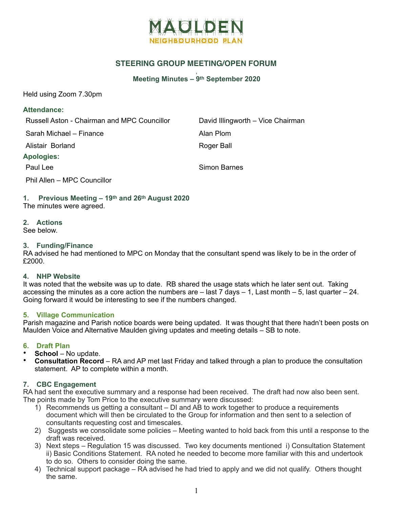

# **STEERING GROUP MEETING/OPEN FORUM**

#### , **Meeting Minutes – 9th September 2020**

Held using Zoom 7.30pm

## **Attendance:**

| Russell Aston - Chairman and MPC Councillor | David Illingworth - Vice Chairman |
|---------------------------------------------|-----------------------------------|
| Sarah Michael - Finance                     | Alan Plom                         |
| Alistair Borland                            | Roger Ball                        |
| <b>Apologies:</b>                           |                                   |
| Paul Lee                                    | Simon Barnes                      |
| Phil Allen - MPC Councillor                 |                                   |

#### **1. Previous Meeting – 19th and 26th August 2020**  The minutes were agreed.

**2. Actions**  See below.

#### **3. Funding/Finance**

RA advised he had mentioned to MPC on Monday that the consultant spend was likely to be in the order of £2000.

#### **4. NHP Website**

It was noted that the website was up to date. RB shared the usage stats which he later sent out. Taking accessing the minutes as a core action the numbers are  $-$  last  $7$  days  $-1$ , Last month  $-5$ , last quarter  $-24$ . Going forward it would be interesting to see if the numbers changed.

#### **5. Village Communication**

Parish magazine and Parish notice boards were being updated. It was thought that there hadn't been posts on Maulden Voice and Alternative Maulden giving updates and meeting details – SB to note.

# **6. Draft Plan**

- **School** No update.<br>• **Consultation Pecord**
- **Consultation Record** RA and AP met last Friday and talked through a plan to produce the consultation statement. AP to complete within a month.

# **7. CBC Engagement**

RA had sent the executive summary and a response had been received. The draft had now also been sent. The points made by Tom Price to the executive summary were discussed:

- 1) Recommends us getting a consultant DI and AB to work together to produce a requirements document which will then be circulated to the Group for information and then sent to a selection of consultants requesting cost and timescales.
- 2) Suggests we consolidate some policies Meeting wanted to hold back from this until a response to the draft was received.
- 3) Next steps Regulation 15 was discussed. Two key documents mentioned i) Consultation Statement ii) Basic Conditions Statement. RA noted he needed to become more familiar with this and undertook to do so. Others to consider doing the same.
- 4) Technical support package RA advised he had tried to apply and we did not qualify. Others thought the same.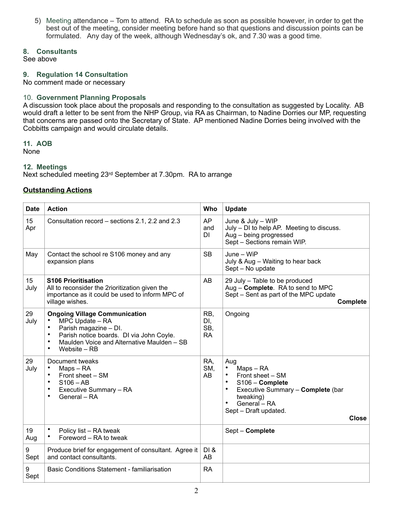5) Meeting attendance – Tom to attend. RA to schedule as soon as possible however, in order to get the best out of the meeting, consider meeting before hand so that questions and discussion points can be formulated. Any day of the week, although Wednesday's ok, and 7.30 was a good time.

# **8. Consultants**

See above

# **9. Regulation 14 Consultation**

No comment made or necessary

# 10. **Government Planning Proposals**

A discussion took place about the proposals and responding to the consultation as suggested by Locality. AB would draft a letter to be sent from the NHP Group, via RA as Chairman, to Nadine Dorries our MP, requesting that concerns are passed onto the Secretary of State. AP mentioned Nadine Dorries being involved with the Cobbitts campaign and would circulate details.

**11. AOB** 

None

## **12. Meetings**

Next scheduled meeting 23rd September at 7.30pm. RA to arrange

## **Outstanding Actions**

| <b>Date</b> | <b>Action</b>                                                                                                                                                                                                                          | Who                            | Update                                                                                                                                                                                                              |
|-------------|----------------------------------------------------------------------------------------------------------------------------------------------------------------------------------------------------------------------------------------|--------------------------------|---------------------------------------------------------------------------------------------------------------------------------------------------------------------------------------------------------------------|
| 15<br>Apr   | Consultation record – sections 2.1, 2.2 and 2.3                                                                                                                                                                                        | <b>AP</b><br>and<br>DI         | June & July - WIP<br>July – DI to help AP. Meeting to discuss.<br>Aug - being progressed<br>Sept - Sections remain WIP.                                                                                             |
| May         | Contact the school re S106 money and any<br>expansion plans                                                                                                                                                                            | <b>SB</b>                      | June - WiP<br>July & Aug - Waiting to hear back<br>Sept - No update                                                                                                                                                 |
| 15<br>July  | <b>S106 Prioritisation</b><br>All to reconsider the 2rioritization given the<br>importance as it could be used to inform MPC of<br>village wishes.                                                                                     | <b>AB</b>                      | 29 July - Table to be produced<br>Aug - Complete. RA to send to MPC<br>Sept – Sent as part of the MPC update<br><b>Complete</b>                                                                                     |
| 29<br>July  | <b>Ongoing Village Communication</b><br>MPC Update - RA<br>Parish magazine - DI.<br>$\bullet$<br>Parish notice boards. DI via John Coyle.<br>$\bullet$<br>Maulden Voice and Alternative Maulden - SB<br>٠<br>Website - RB<br>$\bullet$ | RB,<br>DI,<br>SB,<br><b>RA</b> | Ongoing                                                                                                                                                                                                             |
| 29<br>July  | Document tweaks<br>Maps - RA<br>$\bullet$<br>Front sheet - SM<br>$\bullet$<br>$S106 - AB$<br>$\bullet$<br>Executive Summary - RA<br>٠<br>General - RA<br>$\bullet$                                                                     | RA,<br>SM,<br><b>AB</b>        | Aug<br>Maps - RA<br>٠<br>Front sheet - SM<br>٠<br>$\bullet$<br>S106 - Complete<br>Executive Summary - Complete (bar<br>$\bullet$<br>tweaking)<br>$\bullet$<br>General - RA<br>Sept - Draft updated.<br><b>Close</b> |
| 19<br>Aug   | $\bullet$<br>Policy list - RA tweak<br>Foreword - RA to tweak                                                                                                                                                                          |                                | Sept - Complete                                                                                                                                                                                                     |
| 9<br>Sept   | Produce brief for engagement of consultant. Agree it<br>and contact consultants.                                                                                                                                                       | DI &<br>AB                     |                                                                                                                                                                                                                     |
| 9<br>Sept   | <b>Basic Conditions Statement - familiarisation</b>                                                                                                                                                                                    | <b>RA</b>                      |                                                                                                                                                                                                                     |